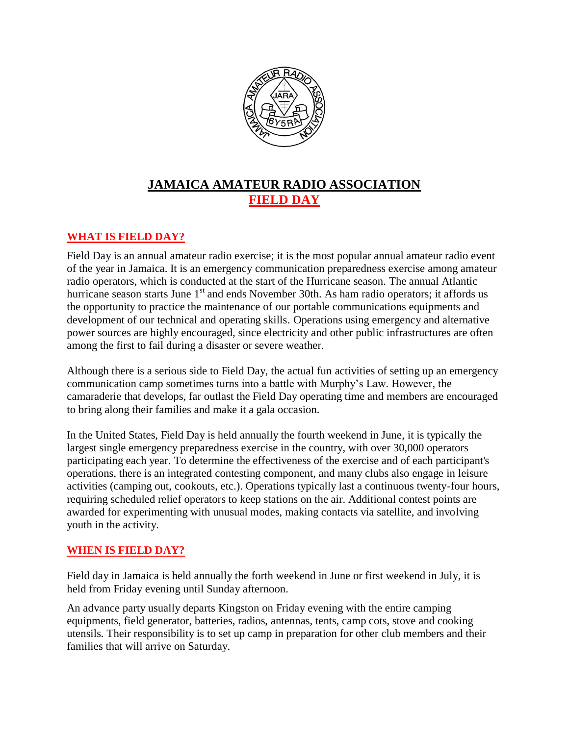

## **JAMAICA AMATEUR RADIO ASSOCIATION FIELD DAY**

## **WHAT IS FIELD DAY?**

Field Day is an annual amateur radio exercise; it is the most popular annual amateur radio event of the year in Jamaica. It is an emergency communication preparedness exercise among amateur radio operators, which is conducted at the start of the Hurricane season. The annual Atlantic hurricane season starts June  $1<sup>st</sup>$  and ends November 30th. As ham radio operators; it affords us the opportunity to practice the maintenance of our portable communications equipments and development of our technical and operating skills. Operations using emergency and alternative power sources are highly encouraged, since electricity and other public infrastructures are often among the first to fail during a disaster or severe weather.

Although there is a serious side to Field Day, the actual fun activities of setting up an emergency communication camp sometimes turns into a battle with Murphy's Law. However, the camaraderie that develops, far outlast the Field Day operating time and members are encouraged to bring along their families and make it a gala occasion.

In the United States, Field Day is held annually the fourth weekend in June, it is typically the largest single emergency preparedness exercise in the country, with over 30,000 operators participating each year. To determine the effectiveness of the exercise and of each participant's operations, there is an integrated contesting component, and many clubs also engage in leisure activities (camping out, cookouts, etc.). Operations typically last a continuous twenty-four hours, requiring scheduled relief operators to keep stations on the air. Additional contest points are awarded for experimenting with unusual modes, making contacts via satellite, and involving youth in the activity.

## **WHEN IS FIELD DAY?**

Field day in Jamaica is held annually the forth weekend in June or first weekend in July, it is held from Friday evening until Sunday afternoon.

An advance party usually departs Kingston on Friday evening with the entire camping equipments, field generator, batteries, radios, antennas, tents, camp cots, stove and cooking utensils. Their responsibility is to set up camp in preparation for other club members and their families that will arrive on Saturday.